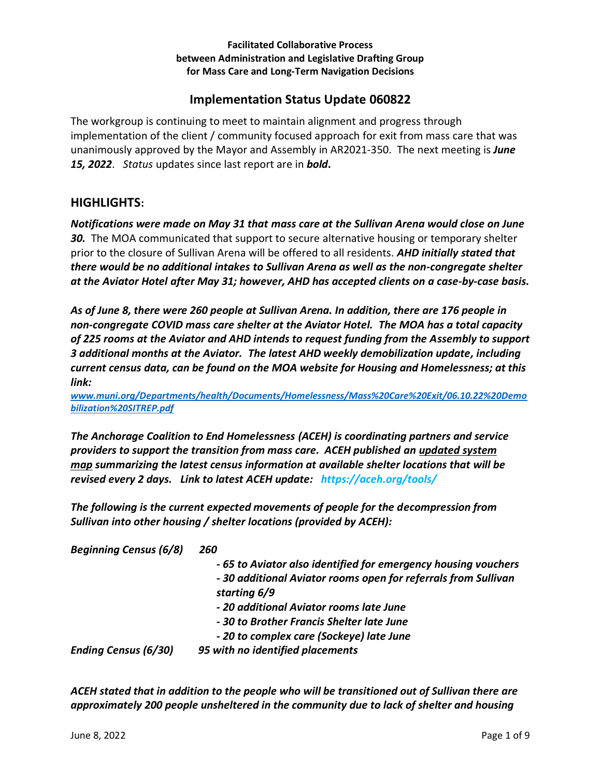### **Facilitated Collaborative Process between Administration and Legislative Drafting Group for Mass Care and Long-Term Navigation Decisions**

# **Implementation Status Update 060822**

The workgroup is continuing to meet to maintain alignment and progress through implementation of the client / community focused approach for exit from mass care that was unanimously approved by the Mayor and Assembly in AR2021-350. The next meeting is *June 15, 2022*. *Status* updates since last report are in *bold***.** 

# **HIGHLIGHTS:**

*Notifications were made on May 31 that mass care at the Sullivan Arena would close on June 30.* The MOA communicated that support to secure alternative housing or temporary shelter prior to the closure of Sullivan Arena will be offered to all residents. *AHD initially stated that there would be no additional intakes to Sullivan Arena as well as the non-congregate shelter at the Aviator Hotel after May 31; however, AHD has accepted clients on a case-by-case basis.* 

*As of June 8, there were 260 people at Sullivan Arena. In addition, there are 176 people in non-congregate COVID mass care shelter at the Aviator Hotel. The MOA has a total capacity of 225 rooms at the Aviator and AHD intends to request funding from the Assembly to support 3 additional months at the Aviator. The latest AHD weekly demobilization update, including current census data, can be found on the MOA website for Housing and Homelessness; at this link:* 

*[www.muni.org/Departments/health/Documents/Homelessness/Mass%20Care%20Exit/06.10.22%20Demo](http://www.muni.org/Departments/health/Documents/Homelessness/Mass%20Care%20Exit/06.10.22%20Demobilization%20SITREP.pdf) [bilization%20SITREP.pdf](http://www.muni.org/Departments/health/Documents/Homelessness/Mass%20Care%20Exit/06.10.22%20Demobilization%20SITREP.pdf)*

*The Anchorage Coalition to End Homelessness (ACEH) is coordinating partners and service providers to support the transition from mass care. ACEH published an [updated system](https://aceh.org/wp-content/uploads/2022/06/Current-State-of-Mass-Care-and-the-HPRS_20220610.pdf)  [map](https://aceh.org/wp-content/uploads/2022/06/Current-State-of-Mass-Care-and-the-HPRS_20220610.pdf) summarizing the latest census information at available shelter locations that will be revised every 2 days. Link to latest ACEH update: https://aceh.org/tools/*

*The following is the current expected movements of people for the decompression from Sullivan into other housing / shelter locations (provided by ACEH):* 

| <b>Beginning Census (6/8)</b> | 260                                                                            |
|-------------------------------|--------------------------------------------------------------------------------|
|                               | - 65 to Aviator also identified for emergency housing vouchers                 |
|                               | - 30 additional Aviator rooms open for referrals from Sullivan<br>starting 6/9 |
|                               | - 20 additional Aviator rooms late June                                        |
|                               | - 30 to Brother Francis Shelter late June                                      |
|                               | - 20 to complex care (Sockeye) late June                                       |
| <b>Ending Census (6/30)</b>   | 95 with no identified placements                                               |

*ACEH stated that in addition to the people who will be transitioned out of Sullivan there are approximately 200 people unsheltered in the community due to lack of shelter and housing*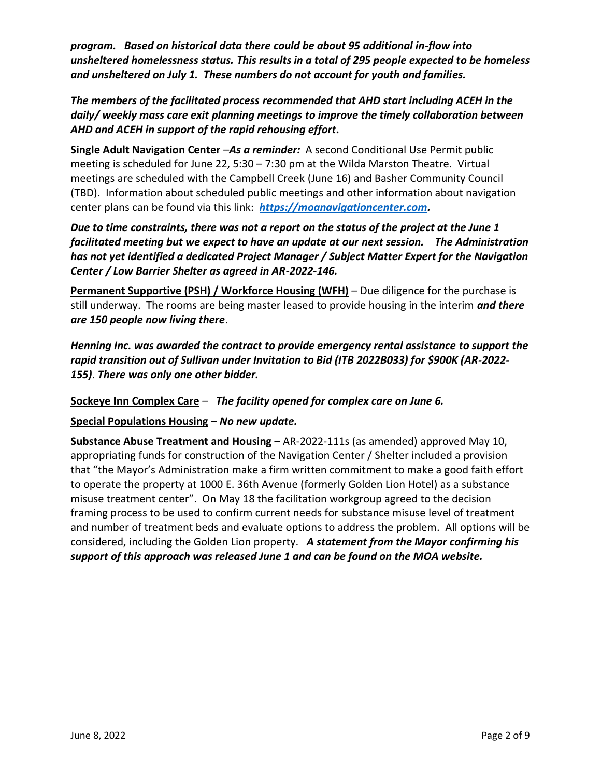*program. Based on historical data there could be about 95 additional in-flow into unsheltered homelessness status. This results in a total of 295 people expected to be homeless and unsheltered on July 1. These numbers do not account for youth and families.* 

*The members of the facilitated process recommended that AHD start including ACEH in the daily/ weekly mass care exit planning meetings to improve the timely collaboration between AHD and ACEH in support of the rapid rehousing effort.* 

**Single Adult Navigation Center** –*As a reminder:* A second Conditional Use Permit public meeting is scheduled for June 22, 5:30 – 7:30 pm at the Wilda Marston Theatre. Virtual meetings are scheduled with the Campbell Creek (June 16) and Basher Community Council (TBD). Information about scheduled public meetings and other information about navigation center plans can be found via this link: *[https://moanavigationcenter.com.](https://moanavigationcenter.com/)*

*Due to time constraints, there was not a report on the status of the project at the June 1 facilitated meeting but we expect to have an update at our next session. The Administration has not yet identified a dedicated Project Manager / Subject Matter Expert for the Navigation Center / Low Barrier Shelter as agreed in AR-2022-146.* 

**Permanent Supportive (PSH) / Workforce Housing (WFH)** – Due diligence for the purchase is still underway. The rooms are being master leased to provide housing in the interim *and there are 150 people now living there*.

*Henning Inc. was awarded the contract to provide emergency rental assistance to support the rapid transition out of Sullivan under Invitation to Bid (ITB 2022B033) for \$900K (AR-2022- 155)*. *There was only one other bidder.* 

**Sockeye Inn Complex Care** – *The facility opened for complex care on June 6.*

## **Special Populations Housing** – *No new update.*

**Substance Abuse Treatment and Housing** – AR-2022-111s (as amended) approved May 10, appropriating funds for construction of the Navigation Center / Shelter included a provision that "the Mayor's Administration make a firm written commitment to make a good faith effort to operate the property at 1000 E. 36th Avenue (formerly Golden Lion Hotel) as a substance misuse treatment center". On May 18 the facilitation workgroup agreed to the decision framing process to be used to confirm current needs for substance misuse level of treatment and number of treatment beds and evaluate options to address the problem.All options will be considered, including the Golden Lion property. *A statement from the Mayor confirming his support of this approach was released June 1 and can be found on the MOA website.*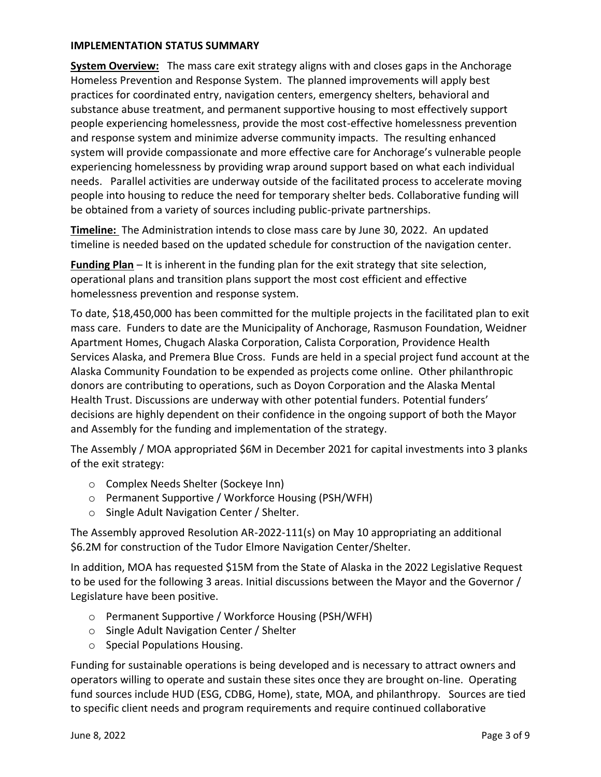#### **IMPLEMENTATION STATUS SUMMARY**

**System Overview:** The mass care exit strategy aligns with and closes gaps in the Anchorage Homeless Prevention and Response System. The planned improvements will apply best practices for coordinated entry, navigation centers, emergency shelters, behavioral and substance abuse treatment, and permanent supportive housing to most effectively support people experiencing homelessness, provide the most cost-effective homelessness prevention and response system and minimize adverse community impacts. The resulting enhanced system will provide compassionate and more effective care for Anchorage's vulnerable people experiencing homelessness by providing wrap around support based on what each individual needs. Parallel activities are underway outside of the facilitated process to accelerate moving people into housing to reduce the need for temporary shelter beds. Collaborative funding will be obtained from a variety of sources including public-private partnerships.

**Timeline:** The Administration intends to close mass care by June 30, 2022. An updated timeline is needed based on the updated schedule for construction of the navigation center.

**Funding Plan** – It is inherent in the funding plan for the exit strategy that site selection, operational plans and transition plans support the most cost efficient and effective homelessness prevention and response system.

To date, \$18,450,000 has been committed for the multiple projects in the facilitated plan to exit mass care. Funders to date are the Municipality of Anchorage, Rasmuson Foundation, Weidner Apartment Homes, Chugach Alaska Corporation, Calista Corporation, Providence Health Services Alaska, and Premera Blue Cross. Funds are held in a special project fund account at the Alaska Community Foundation to be expended as projects come online. Other philanthropic donors are contributing to operations, such as Doyon Corporation and the Alaska Mental Health Trust. Discussions are underway with other potential funders. Potential funders' decisions are highly dependent on their confidence in the ongoing support of both the Mayor and Assembly for the funding and implementation of the strategy.

The Assembly / MOA appropriated \$6M in December 2021 for capital investments into 3 planks of the exit strategy:

- o Complex Needs Shelter (Sockeye Inn)
- o Permanent Supportive / Workforce Housing (PSH/WFH)
- o Single Adult Navigation Center / Shelter.

The Assembly approved Resolution AR-2022-111(s) on May 10 appropriating an additional \$6.2M for construction of the Tudor Elmore Navigation Center/Shelter.

In addition, MOA has requested \$15M from the State of Alaska in the 2022 Legislative Request to be used for the following 3 areas. Initial discussions between the Mayor and the Governor / Legislature have been positive.

- o Permanent Supportive / Workforce Housing (PSH/WFH)
- o Single Adult Navigation Center / Shelter
- o Special Populations Housing.

Funding for sustainable operations is being developed and is necessary to attract owners and operators willing to operate and sustain these sites once they are brought on-line. Operating fund sources include HUD (ESG, CDBG, Home), state, MOA, and philanthropy. Sources are tied to specific client needs and program requirements and require continued collaborative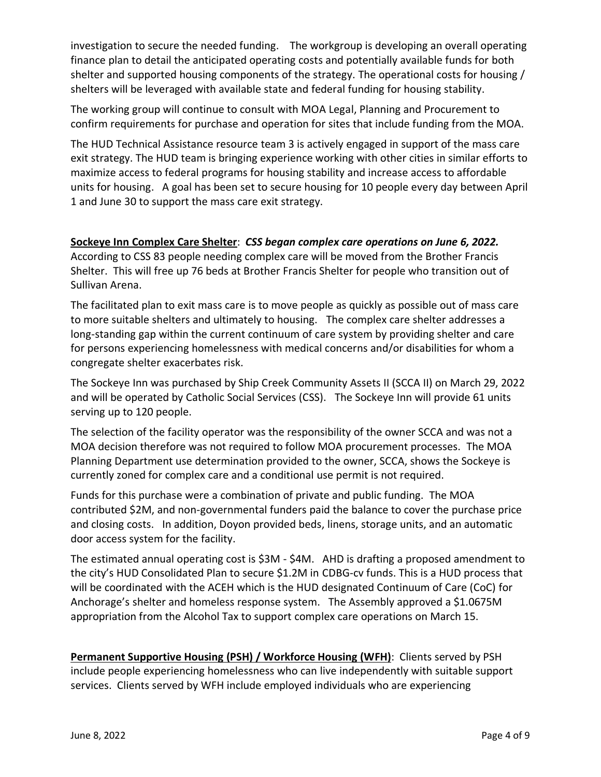investigation to secure the needed funding. The workgroup is developing an overall operating finance plan to detail the anticipated operating costs and potentially available funds for both shelter and supported housing components of the strategy. The operational costs for housing / shelters will be leveraged with available state and federal funding for housing stability.

The working group will continue to consult with MOA Legal, Planning and Procurement to confirm requirements for purchase and operation for sites that include funding from the MOA.

The HUD Technical Assistance resource team 3 is actively engaged in support of the mass care exit strategy. The HUD team is bringing experience working with other cities in similar efforts to maximize access to federal programs for housing stability and increase access to affordable units for housing. A goal has been set to secure housing for 10 people every day between April 1 and June 30 to support the mass care exit strategy.

**Sockeye Inn Complex Care Shelter**: *CSS began complex care operations on June 6, 2022.* According to CSS 83 people needing complex care will be moved from the Brother Francis Shelter. This will free up 76 beds at Brother Francis Shelter for people who transition out of Sullivan Arena.

The facilitated plan to exit mass care is to move people as quickly as possible out of mass care to more suitable shelters and ultimately to housing. The complex care shelter addresses a long-standing gap within the current continuum of care system by providing shelter and care for persons experiencing homelessness with medical concerns and/or disabilities for whom a congregate shelter exacerbates risk.

The Sockeye Inn was purchased by Ship Creek Community Assets II (SCCA II) on March 29, 2022 and will be operated by Catholic Social Services (CSS). The Sockeye Inn will provide 61 units serving up to 120 people.

The selection of the facility operator was the responsibility of the owner SCCA and was not a MOA decision therefore was not required to follow MOA procurement processes. The MOA Planning Department use determination provided to the owner, SCCA, shows the Sockeye is currently zoned for complex care and a conditional use permit is not required.

Funds for this purchase were a combination of private and public funding. The MOA contributed \$2M, and non-governmental funders paid the balance to cover the purchase price and closing costs. In addition, Doyon provided beds, linens, storage units, and an automatic door access system for the facility.

The estimated annual operating cost is \$3M - \$4M. AHD is drafting a proposed amendment to the city's HUD Consolidated Plan to secure \$1.2M in CDBG-cv funds. This is a HUD process that will be coordinated with the ACEH which is the HUD designated Continuum of Care (CoC) for Anchorage's shelter and homeless response system. The Assembly approved a \$1.0675M appropriation from the Alcohol Tax to support complex care operations on March 15.

**Permanent Supportive Housing (PSH) / Workforce Housing (WFH)**: Clients served by PSH include people experiencing homelessness who can live independently with suitable support services. Clients served by WFH include employed individuals who are experiencing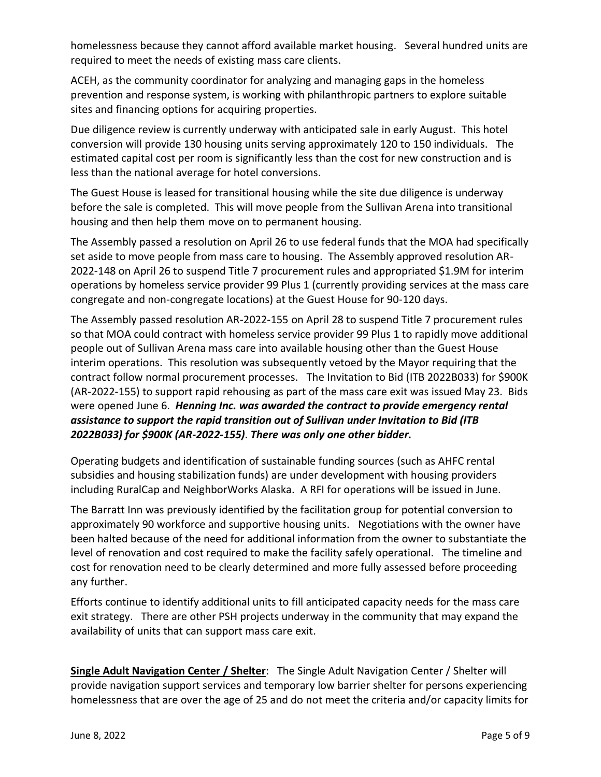homelessness because they cannot afford available market housing. Several hundred units are required to meet the needs of existing mass care clients.

ACEH, as the community coordinator for analyzing and managing gaps in the homeless prevention and response system, is working with philanthropic partners to explore suitable sites and financing options for acquiring properties.

Due diligence review is currently underway with anticipated sale in early August.This hotel conversion will provide 130 housing units serving approximately 120 to 150 individuals.The estimated capital cost per room is significantly less than the cost for new construction and is less than the national average for hotel conversions.

The Guest House is leased for transitional housing while the site due diligence is underway before the sale is completed. This will move people from the Sullivan Arena into transitional housing and then help them move on to permanent housing.

The Assembly passed a resolution on April 26 to use federal funds that the MOA had specifically set aside to move people from mass care to housing. The Assembly approved resolution AR-2022-148 on April 26 to suspend Title 7 procurement rules and appropriated \$1.9M for interim operations by homeless service provider 99 Plus 1 (currently providing services at the mass care congregate and non-congregate locations) at the Guest House for 90-120 days.

The Assembly passed resolution AR-2022-155 on April 28 to suspend Title 7 procurement rules so that MOA could contract with homeless service provider 99 Plus 1 to rapidly move additional people out of Sullivan Arena mass care into available housing other than the Guest House interim operations. This resolution was subsequently vetoed by the Mayor requiring that the contract follow normal procurement processes.The Invitation to Bid (ITB 2022B033) for \$900K (AR-2022-155) to support rapid rehousing as part of the mass care exit was issued May 23. Bids were opened June 6. *Henning Inc. was awarded the contract to provide emergency rental assistance to support the rapid transition out of Sullivan under Invitation to Bid (ITB 2022B033) for \$900K (AR-2022-155)*. *There was only one other bidder.* 

Operating budgets and identification of sustainable funding sources (such as AHFC rental subsidies and housing stabilization funds) are under development with housing providers including RuralCap and NeighborWorks Alaska. A RFI for operations will be issued in June.

The Barratt Inn was previously identified by the facilitation group for potential conversion to approximately 90 workforce and supportive housing units. Negotiations with the owner have been halted because of the need for additional information from the owner to substantiate the level of renovation and cost required to make the facility safely operational. The timeline and cost for renovation need to be clearly determined and more fully assessed before proceeding any further.

Efforts continue to identify additional units to fill anticipated capacity needs for the mass care exit strategy. There are other PSH projects underway in the community that may expand the availability of units that can support mass care exit.

**Single Adult Navigation Center / Shelter**: The Single Adult Navigation Center / Shelter will provide navigation support services and temporary low barrier shelter for persons experiencing homelessness that are over the age of 25 and do not meet the criteria and/or capacity limits for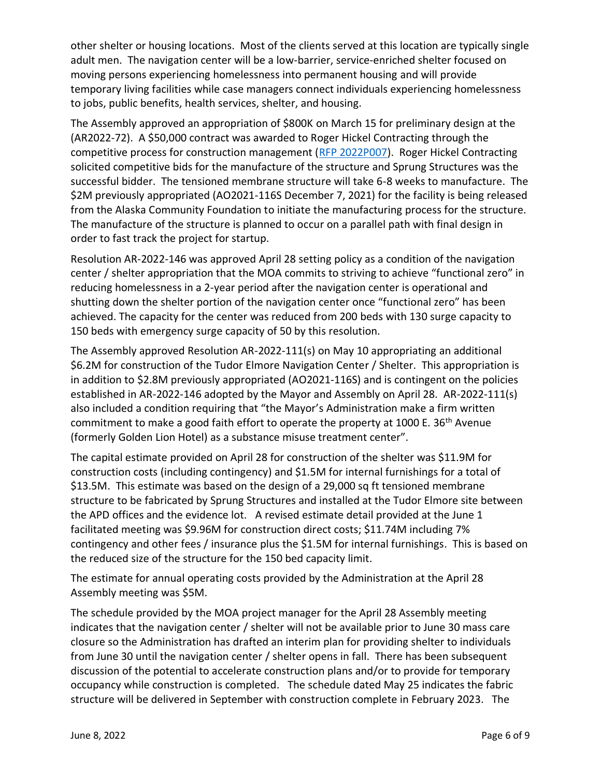other shelter or housing locations. Most of the clients served at this location are typically single adult men. The navigation center will be a low-barrier, service-enriched shelter focused on moving persons experiencing homelessness into permanent housing and will provide temporary living facilities while case managers connect individuals experiencing homelessness to jobs, public benefits, health services, shelter, and housing.

The Assembly approved an appropriation of \$800K on March 15 for preliminary design at the (AR2022-72). A \$50,000 contract was awarded to Roger Hickel Contracting through the competitive process for construction management [\(RFP 2022P007\)](https://purchasing.muni.org/Web%20E-Bid/Open/rfp/2022P007%20Navigation%20Center/Proposal%20Document/2022P007%20-%20Navigation%20Center.pdf). Roger Hickel Contracting solicited competitive bids for the manufacture of the structure and Sprung Structures was the successful bidder. The tensioned membrane structure will take 6-8 weeks to manufacture. The \$2M previously appropriated (AO2021-116S December 7, 2021) for the facility is being released from the Alaska Community Foundation to initiate the manufacturing process for the structure. The manufacture of the structure is planned to occur on a parallel path with final design in order to fast track the project for startup.

Resolution AR-2022-146 was approved April 28 setting policy as a condition of the navigation center / shelter appropriation that the MOA commits to striving to achieve "functional zero" in reducing homelessness in a 2-year period after the navigation center is operational and shutting down the shelter portion of the navigation center once "functional zero" has been achieved. The capacity for the center was reduced from 200 beds with 130 surge capacity to 150 beds with emergency surge capacity of 50 by this resolution.

The Assembly approved Resolution AR-2022-111(s) on May 10 appropriating an additional \$6.2M for construction of the Tudor Elmore Navigation Center / Shelter. This appropriation is in addition to \$2.8M previously appropriated (AO2021-116S) and is contingent on the policies established in AR-2022-146 adopted by the Mayor and Assembly on April 28. AR-2022-111(s) also included a condition requiring that "the Mayor's Administration make a firm written commitment to make a good faith effort to operate the property at 1000 E. 36<sup>th</sup> Avenue (formerly Golden Lion Hotel) as a substance misuse treatment center".

The capital estimate provided on April 28 for construction of the shelter was \$11.9M for construction costs (including contingency) and \$1.5M for internal furnishings for a total of \$13.5M. This estimate was based on the design of a 29,000 sq ft tensioned membrane structure to be fabricated by Sprung Structures and installed at the Tudor Elmore site between the APD offices and the evidence lot. A revised estimate detail provided at the June 1 facilitated meeting was \$9.96M for construction direct costs; \$11.74M including 7% contingency and other fees / insurance plus the \$1.5M for internal furnishings. This is based on the reduced size of the structure for the 150 bed capacity limit.

The estimate for annual operating costs provided by the Administration at the April 28 Assembly meeting was \$5M.

The schedule provided by the MOA project manager for the April 28 Assembly meeting indicates that the navigation center / shelter will not be available prior to June 30 mass care closure so the Administration has drafted an interim plan for providing shelter to individuals from June 30 until the navigation center / shelter opens in fall. There has been subsequent discussion of the potential to accelerate construction plans and/or to provide for temporary occupancy while construction is completed. The schedule dated May 25 indicates the fabric structure will be delivered in September with construction complete in February 2023. The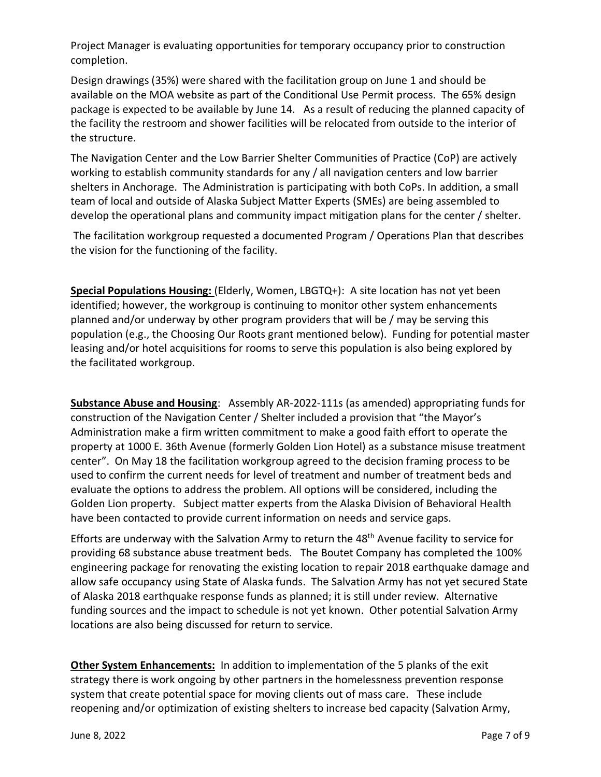Project Manager is evaluating opportunities for temporary occupancy prior to construction completion.

Design drawings (35%) were shared with the facilitation group on June 1 and should be available on the MOA website as part of the Conditional Use Permit process. The 65% design package is expected to be available by June 14. As a result of reducing the planned capacity of the facility the restroom and shower facilities will be relocated from outside to the interior of the structure.

The Navigation Center and the Low Barrier Shelter Communities of Practice (CoP) are actively working to establish community standards for any / all navigation centers and low barrier shelters in Anchorage. The Administration is participating with both CoPs. In addition, a small team of local and outside of Alaska Subject Matter Experts (SMEs) are being assembled to develop the operational plans and community impact mitigation plans for the center / shelter.

The facilitation workgroup requested a documented Program / Operations Plan that describes the vision for the functioning of the facility.

**Special Populations Housing:** (Elderly, Women, LBGTQ+): A site location has not yet been identified; however, the workgroup is continuing to monitor other system enhancements planned and/or underway by other program providers that will be / may be serving this population (e.g., the Choosing Our Roots grant mentioned below). Funding for potential master leasing and/or hotel acquisitions for rooms to serve this population is also being explored by the facilitated workgroup.

**Substance Abuse and Housing**: Assembly AR-2022-111s (as amended) appropriating funds for construction of the Navigation Center / Shelter included a provision that "the Mayor's Administration make a firm written commitment to make a good faith effort to operate the property at 1000 E. 36th Avenue (formerly Golden Lion Hotel) as a substance misuse treatment center". On May 18 the facilitation workgroup agreed to the decision framing process to be used to confirm the current needs for level of treatment and number of treatment beds and evaluate the options to address the problem. All options will be considered, including the Golden Lion property. Subject matter experts from the Alaska Division of Behavioral Health have been contacted to provide current information on needs and service gaps.

Efforts are underway with the Salvation Army to return the 48<sup>th</sup> Avenue facility to service for providing 68 substance abuse treatment beds. The Boutet Company has completed the 100% engineering package for renovating the existing location to repair 2018 earthquake damage and allow safe occupancy using State of Alaska funds. The Salvation Army has not yet secured State of Alaska 2018 earthquake response funds as planned; it is still under review. Alternative funding sources and the impact to schedule is not yet known. Other potential Salvation Army locations are also being discussed for return to service.

**Other System Enhancements:** In addition to implementation of the 5 planks of the exit strategy there is work ongoing by other partners in the homelessness prevention response system that create potential space for moving clients out of mass care. These include reopening and/or optimization of existing shelters to increase bed capacity (Salvation Army,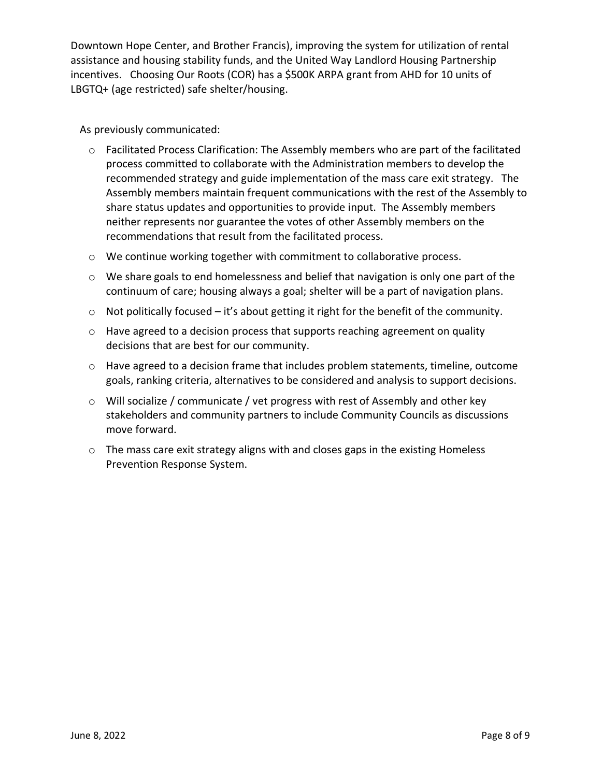Downtown Hope Center, and Brother Francis), improving the system for utilization of rental assistance and housing stability funds, and the United Way Landlord Housing Partnership incentives. Choosing Our Roots (COR) has a \$500K ARPA grant from AHD for 10 units of LBGTQ+ (age restricted) safe shelter/housing.

As previously communicated:

- o Facilitated Process Clarification: The Assembly members who are part of the facilitated process committed to collaborate with the Administration members to develop the recommended strategy and guide implementation of the mass care exit strategy. The Assembly members maintain frequent communications with the rest of the Assembly to share status updates and opportunities to provide input. The Assembly members neither represents nor guarantee the votes of other Assembly members on the recommendations that result from the facilitated process.
- $\circ$  We continue working together with commitment to collaborative process.
- $\circ$  We share goals to end homelessness and belief that navigation is only one part of the continuum of care; housing always a goal; shelter will be a part of navigation plans.
- $\circ$  Not politically focused it's about getting it right for the benefit of the community.
- $\circ$  Have agreed to a decision process that supports reaching agreement on quality decisions that are best for our community.
- $\circ$  Have agreed to a decision frame that includes problem statements, timeline, outcome goals, ranking criteria, alternatives to be considered and analysis to support decisions.
- $\circ$  Will socialize / communicate / vet progress with rest of Assembly and other key stakeholders and community partners to include Community Councils as discussions move forward.
- o The mass care exit strategy aligns with and closes gaps in the existing Homeless Prevention Response System.